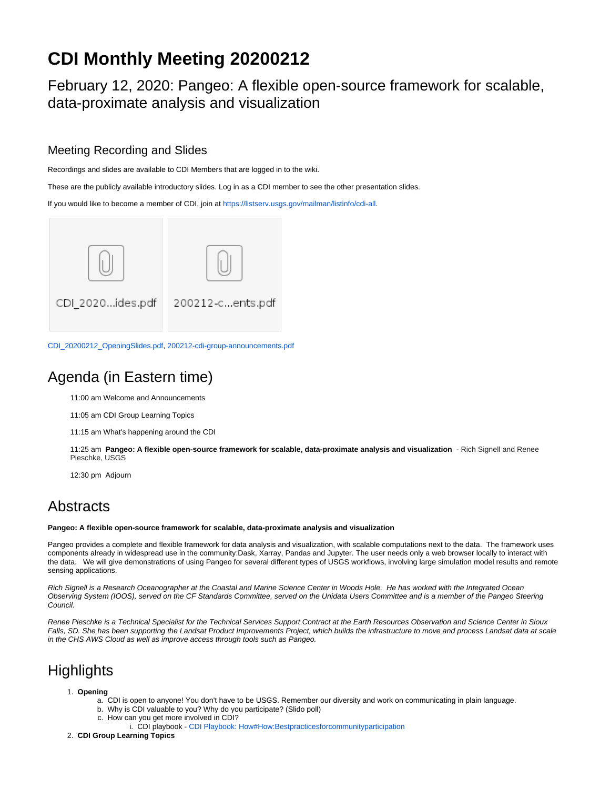# **CDI Monthly Meeting 20200212**

February 12, 2020: Pangeo: A flexible open-source framework for scalable, data-proximate analysis and visualization

### Meeting Recording and Slides

Recordings and slides are available to CDI Members that are logged in to the wiki.

These are the publicly available introductory slides. Log in as a CDI member to see the other presentation slides.

If you would like to become a member of CDI, join at <https://listserv.usgs.gov/mailman/listinfo/cdi-all>.



[CDI\\_20200212\\_OpeningSlides.pdf,](https://my.usgs.gov/confluence/download/attachments/654345296/CDI_20200212_OpeningSlides.pdf?version=1&modificationDate=1581533834218&api=v2) [200212-cdi-group-announcements.pdf](https://my.usgs.gov/confluence/download/attachments/654345296/200212-cdi-group-announcements.pdf?version=1&modificationDate=1581533779616&api=v2)

# Agenda (in Eastern time)

11:00 am Welcome and Announcements

11:05 am CDI Group Learning Topics

11:15 am What's happening around the CDI

11:25 am **Pangeo: A flexible open-source framework for scalable, data-proximate analysis and visualization** - Rich Signell and Renee Pieschke, USGS

12:30 pm Adjourn

## **Abstracts**

#### **Pangeo: A flexible open-source framework for scalable, data-proximate analysis and visualization**

Pangeo provides a complete and flexible framework for data analysis and visualization, with scalable computations next to the data. The framework uses components already in widespread use in the community:Dask, Xarray, Pandas and Jupyter. The user needs only a web browser locally to interact with the data. We will give demonstrations of using Pangeo for several different types of USGS workflows, involving large simulation model results and remote sensing applications.

Rich Signell is a Research Oceanographer at the Coastal and Marine Science Center in Woods Hole. He has worked with the Integrated Ocean Observing System (IOOS), served on the CF Standards Committee, served on the Unidata Users Committee and is a member of the Pangeo Steering Council.

Renee Pieschke is a Technical Specialist for the Technical Services Support Contract at the Earth Resources Observation and Science Center in Sioux Falls, SD. She has been supporting the Landsat Product Improvements Project, which builds the infrastructure to move and process Landsat data at scale in the CHS AWS Cloud as well as improve access through tools such as Pangeo.

# **Highlights**

### 1. **Opening**

- a. CDI is open to anyone! You don't have to be USGS. Remember our diversity and work on communicating in plain language.
	- b. Why is CDI valuable to you? Why do you participate? (Slido poll)
	- c. How can you get more involved in CDI?
		- i. CDI playbook [CDI Playbook: How#How:Bestpracticesforcommunityparticipation](https://my.usgs.gov/confluence/display/cdi/CDI+Playbook%3A+How#CDIPlaybook:How-How:Bestpracticesforcommunityparticipation)
- 2. **CDI Group Learning Topics**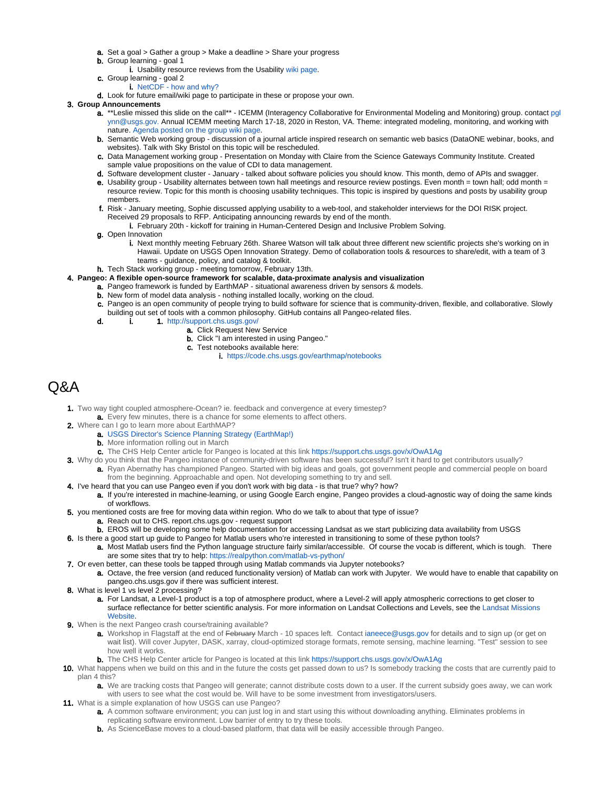- **a.** Set a goal > Gather a group > Make a deadline > Share your progress
- **b.** Group learning goal 1
- i. Usability resource reviews from the Usability [wiki page](https://my.usgs.gov/confluence/display/cdi/Usability+Reviews+-+FY2020).
- c. Group learning goal 2
	- i. [NetCDF how and why?](https://www.youtube.com/watch?v=7YYTXa4qyfo)
- d. Look for future email/wiki page to participate in these or propose your own.

### 3. **Group Announcements**

- a. \*\*Leslie missed this slide on the call\*\* ICEMM (Interagency Collaborative for Environmental Modeling and Monitoring) group. contact [pgl](mailto:pglynn@usgs.gov.) [ynn@usgs.gov.](mailto:pglynn@usgs.gov.) Annual ICEMM meeting March 17-18, 2020 in Reston, VA. Theme: integrated modeling, monitoring, and working with nature. [Agenda posted on the group wiki page](https://my.usgs.gov/confluence/x/0K5tI).
- b. Semantic Web working group discussion of a journal article inspired research on semantic web basics (DataONE webinar, books, and websites). Talk with Sky Bristol on this topic will be rescheduled.
- c. Data Management working group Presentation on Monday with Claire from the Science Gateways Community Institute. Created sample value propositions on the value of CDI to data management.
- d. Software development cluster January talked about software policies you should know. This month, demo of APIs and swagger.
- e. Usability group Usability alternates between town hall meetings and resource review postings. Even month = town hall; odd month = resource review. Topic for this month is choosing usability techniques. This topic is inspired by questions and posts by usability group members.
- f. Risk January meeting, Sophie discussed applying usability to a web-tool, and stakeholder interviews for the DOI RISK project. Received 29 proposals to RFP. Anticipating announcing rewards by end of the month.
	- i. February 20th kickoff for training in Human-Centered Design and Inclusive Problem Solving.
- g. Open Innovation
	- i. Next monthly meeting February 26th. Sharee Watson will talk about three different new scientific projects she's working on in Hawaii. Update on USGS Open Innovation Strategy. Demo of collaboration tools & resources to share/edit, with a team of 3 teams - guidance, policy, and catalog & toolkit.
- h. Tech Stack working group meeting tomorrow, February 13th.
- 4. **Pangeo: A flexible open-source framework for scalable, data-proximate analysis and visualization**
	- a. Pangeo framework is funded by EarthMAP situational awareness driven by sensors & models.
		- **b.** New form of model data analysis nothing installed locally, working on the cloud.
		- c. Pangeo is an open community of people trying to build software for science that is community-driven, flexible, and collaborative. Slowly
		- building out set of tools with a common philosophy. GitHub contains all Pangeo-related files.
		- d. i. 1. <http://support.chs.usgs.gov/>
			- **a.** Click Request New Service
			- **b.** Click "I am interested in using Pangeo."
			- c. Test notebooks available here:
				- i. <https://code.chs.usgs.gov/earthmap/notebooks>

### Q&A

- 1. Two way tight coupled atmosphere-Ocean? ie. feedback and convergence at every timestep? a. Every few minutes, there is a chance for some elements to affect others.
- 2. Where can I go to learn more about EarthMAP?
	- a. [USGS Director's Science Planning Strategy \(EarthMap!\)](https://my.usgs.gov/confluence/pages/viewpage.action?pageId=635125463)
		- **b.** More information rolling out in March
		- c. The CHS Help Center article for Pangeo is located at this link<https://support.chs.usgs.gov/x/OwA1Ag>
- 3. Why do you think that the Pangeo instance of community-driven software has been successful? Isn't it hard to get contributors usually? a. Ryan Abernathy has championed Pangeo. Started with big ideas and goals, got government people and commercial people on board
- from the beginning. Approachable and open. Not developing something to try and sell.
- 4. I've heard that you can use Pangeo even if you don't work with big data is that true? why? how? a. If you're interested in machine-learning, or using Google Earch engine, Pangeo provides a cloud-agnostic way of doing the same kinds
	- of workflows.
- 5. you mentioned costs are free for moving data within region. Who do we talk to about that type of issue?
	- a. Reach out to CHS. report.chs.ugs.gov request support
	- b. EROS will be developing some help documentation for accessing Landsat as we start publicizing data availability from USGS
- 6. Is there a good start up guide to Pangeo for Matlab users who're interested in transitioning to some of these python tools? a. Most Matlab users find the Python language structure fairly similar/accessible. Of course the vocab is different, which is tough. There are some sites that try to help: <https://realpython.com/matlab-vs-python/>
- 7. Or even better, can these tools be tapped through using Matlab commands via Jupyter notebooks?
- a. Octave, the free version (and reduced functionality version) of Matlab can work with Jupyter. We would have to enable that capability on pangeo.chs.usgs.gov if there was sufficient interest.
- 8. What is level 1 vs level 2 processing?
	- a. For Landsat, a Level-1 product is a top of atmosphere product, where a Level-2 will apply atmospheric corrections to get closer to surface reflectance for better scientific analysis. For more information on Landsat Collections and Levels, see the [Landsat Missions](https://www.usgs.gov/land-resources/nli/landsat/landsat-collections)  [Website](https://www.usgs.gov/land-resources/nli/landsat/landsat-collections).
- 9. When is the next Pangeo crash course/training available?
	- a. Workshop in Flagstaff at the end of <del>February</del> March 10 spaces left. Contact [ianeece@usgs.gov](mailto:ianeece@usgs.gov) for details and to sign up (or get on wait list). Will cover Jupyter, DASK, xarray, cloud-optimized storage formats, remote sensing, machine learning. "Test" session to see how well it works.
	- b. The CHS Help Center article for Pangeo is located at this link<https://support.chs.usgs.gov/x/OwA1Ag>
- 10. What happens when we build on this and in the future the costs get passed down to us? Is somebody tracking the costs that are currently paid to plan 4 this?
	- a. We are tracking costs that Pangeo will generate; cannot distribute costs down to a user. If the current subsidy goes away, we can work with users to see what the cost would be. Will have to be some investment from investigators/users.
- 11. What is a simple explanation of how USGS can use Pangeo?
	- a. A common software environment; you can just log in and start using this without downloading anything. Eliminates problems in replicating software environment. Low barrier of entry to try these tools.
	- b. As ScienceBase moves to a cloud-based platform, that data will be easily accessible through Pangeo.